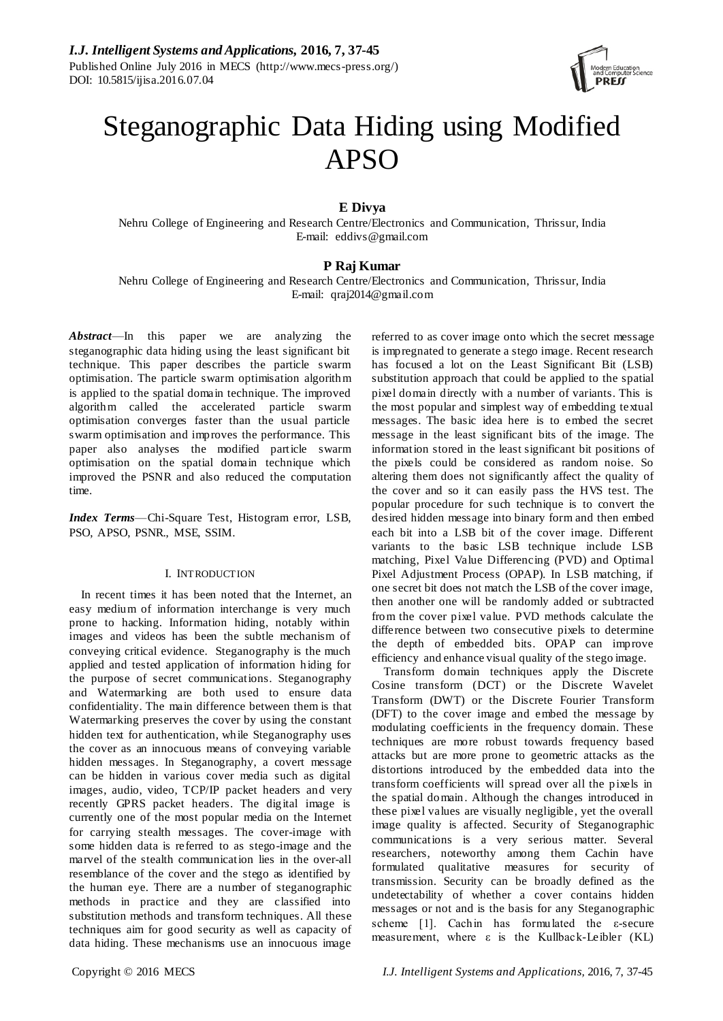

# Steganographic Data Hiding using Modified APSO

# **E Divya**

Nehru College of Engineering and Research Centre/Electronics and Communication, Thrissur, India E-mail: eddivs@gmail.com

# **P Raj Kumar**

Nehru College of Engineering and Research Centre/Electronics and Communication, Thrissur, India E-mail: qraj2014@gmail.com

*Abstract*—In this paper we are analyzing the steganographic data hiding using the least significant bit technique. This paper describes the particle swarm optimisation. The particle swarm optimisation algorithm is applied to the spatial domain technique. The improved algorithm called the accelerated particle swarm optimisation converges faster than the usual particle swarm optimisation and improves the performance. This paper also analyses the modified particle swarm optimisation on the spatial domain technique which improved the PSNR and also reduced the computation time.

*Index Terms*—Chi-Square Test, Histogram error, LSB, PSO, APSO, PSNR., MSE, SSIM.

# I. INTRODUCTION

In recent times it has been noted that the Internet, an easy medium of information interchange is very much prone to hacking. Information hiding, notably within images and videos has been the subtle mechanism of conveying critical evidence. Steganography is the much applied and tested application of information hiding for the purpose of secret communications. Steganography and Watermarking are both used to ensure data confidentiality. The main difference between them is that Watermarking preserves the cover by using the constant hidden text for authentication, while Steganography uses the cover as an innocuous means of conveying variable hidden messages. In Steganography, a covert message can be hidden in various cover media such as digital images, audio, video, TCP/IP packet headers and very recently GPRS packet headers. The digital image is currently one of the most popular media on the Internet for carrying stealth messages. The cover-image with some hidden data is referred to as stego-image and the marvel of the stealth communication lies in the over-all resemblance of the cover and the stego as identified by the human eye. There are a number of steganographic methods in practice and they are classified into substitution methods and transform techniques. All these techniques aim for good security as well as capacity of data hiding. These mechanisms use an innocuous image

referred to as cover image onto which the secret message is impregnated to generate a stego image. Recent research has focused a lot on the Least Significant Bit (LSB) substitution approach that could be applied to the spatial pixel domain directly with a number of variants. This is the most popular and simplest way of embedding textual messages. The basic idea here is to embed the secret message in the least significant bits of the image. The information stored in the least significant bit positions of the pixels could be considered as random noise. So altering them does not significantly affect the quality of the cover and so it can easily pass the HVS test. The popular procedure for such technique is to convert the desired hidden message into binary form and then embed each bit into a LSB bit of the cover image. Different variants to the basic LSB technique include LSB matching, Pixel Value Differencing (PVD) and Optimal Pixel Adjustment Process (OPAP). In LSB matching, if one secret bit does not match the LSB of the cover image, then another one will be randomly added or subtracted from the cover pixel value. PVD methods calculate the difference between two consecutive pixels to determine the depth of embedded bits. OPAP can improve efficiency and enhance visual quality of the stego image.

Transform domain techniques apply the Discrete Cosine transform (DCT) or the Discrete Wavelet Transform (DWT) or the Discrete Fourier Transform (DFT) to the cover image and embed the message by modulating coefficients in the frequency domain. These techniques are more robust towards frequency based attacks but are more prone to geometric attacks as the distortions introduced by the embedded data into the transform coefficients will spread over all the pixels in the spatial domain. Although the changes introduced in these pixel values are visually negligible, yet the overall image quality is affected. Security of Steganographic communications is a very serious matter. Several researchers, noteworthy among them Cachin have formulated qualitative measures for security of transmission. Security can be broadly defined as the undetectability of whether a cover contains hidden messages or not and is the basis for any Steganographic scheme [1]. Cachin has formulated the ε-secure measurement, where ε is the Kullback-Leibler (KL)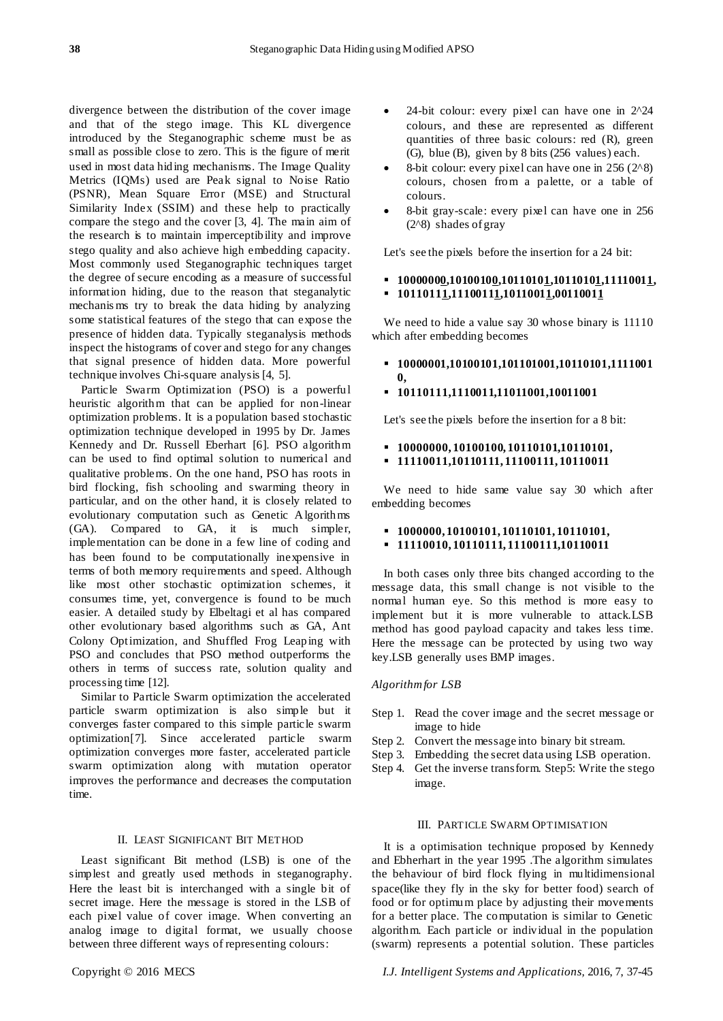divergence between the distribution of the cover image and that of the stego image. This KL divergence introduced by the Steganographic scheme must be as small as possible close to zero. This is the figure of merit used in most data hiding mechanisms. The Image Quality Metrics (IQMs) used are Peak signal to Noise Ratio (PSNR), Mean Square Error (MSE) and Structural Similarity Index (SSIM) and these help to practically compare the stego and the cover [3, 4]. The main aim of the research is to maintain imperceptibility and improve stego quality and also achieve high embedding capacity. Most commonly used Steganographic techniques target the degree of secure encoding as a measure of successful information hiding, due to the reason that steganalytic mechanis ms try to break the data hiding by analyzing some statistical features of the stego that can expose the presence of hidden data. Typically steganalysis methods inspect the histograms of cover and stego for any changes that signal presence of hidden data. More powerful technique involves Chi-square analysis [4, 5].

Particle Swarm Optimization (PSO) is a powerful heuristic algorithm that can be applied for non-linear optimization problems. It is a population based stochastic optimization technique developed in 1995 by Dr. James Kennedy and Dr. Russell Eberhart [6]. PSO algorithm can be used to find optimal solution to numerical and qualitative problems. On the one hand, PSO has roots in bird flocking, fish schooling and swarming theory in particular, and on the other hand, it is closely related to evolutionary computation such as Genetic Algorithms (GA). Compared to GA, it is much simpler, implementation can be done in a few line of coding and has been found to be computationally inexpensive in terms of both memory requirements and speed. Although like most other stochastic optimization schemes, it consumes time, yet, convergence is found to be much easier. A detailed study by Elbeltagi et al has compared other evolutionary based algorithms such as GA, Ant Colony Optimization, and Shuffled Frog Leaping with PSO and concludes that PSO method outperforms the others in terms of success rate, solution quality and processing time [12].

Similar to Particle Swarm optimization the accelerated particle swarm optimization is also simple but it converges faster compared to this simple particle swarm optimization[7]. Since accelerated particle swarm optimization converges more faster, accelerated particle swarm optimization along with mutation operator improves the performance and decreases the computation time.

#### II. LEAST SIGNIFICANT BIT METHOD

Least significant Bit method (LSB) is one of the simplest and greatly used methods in steganography. Here the least bit is interchanged with a single bit of secret image. Here the message is stored in the LSB of each pixel value of cover image. When converting an analog image to digital format, we usually choose between three different ways of representing colours:

- 24-bit colour: every pixel can have one in 2^24 colours, and these are represented as different quantities of three basic colours: red (R), green (G), blue (B), given by 8 bits (256 values) each.
- 8-bit colour: every pixel can have one in 256 (2^8) colours, chosen from a palette, or a table of colours.
- 8-bit gray-scale: every pixel can have one in 256 (2^8) shades of gray

Let's see the pixels before the insertion for a 24 bit:

# **10000000,10100100,10110101,10110101,11110011, 10110111,11100111,10110011,00110011**

We need to hide a value say 30 whose binary is  $11110$ which after embedding becomes

**10000001,10100101,101101001,10110101,1111001**

### **10110111,1110011,11011001,10011001**

Let's see the pixels before the insertion for a 8 bit:

- **10000000, 10100100, 10110101,10110101,**
- **11110011,10110111, 11100111, 10110011**

We need to hide same value say 30 which after embedding becomes

# **1000000, 10100101, 10110101, 10110101,**

**11110010, 10110111, 11100111,10110011**

In both cases only three bits changed according to the message data, this small change is not visible to the normal human eye. So this method is more easy to implement but it is more vulnerable to attack.LSB method has good payload capacity and takes less time. Here the message can be protected by using two way key.LSB generally uses BMP images.

#### *Algorithm for LSB*

**0,**

- Step 1. Read the cover image and the secret message or image to hide
- Step 2. Convert the message into binary bit stream.
- Step 3. Embedding the secret data using LSB operation.
- Step 4. Get the inverse transform. Step5: Write the stego image.

## III. PARTICLE SWARM OPTIMISATION

It is a optimisation technique proposed by Kennedy and Ebherhart in the year 1995 .The algorithm simulates the behaviour of bird flock flying in multidimensional space(like they fly in the sky for better food) search of food or for optimum place by adjusting their movements for a better place. The computation is similar to Genetic algorithm. Each particle or individual in the population (swarm) represents a potential solution. These particles

Copyright © 2016 MECS *I.J. Intelligent Systems and Applications,* 2016, 7, 37-45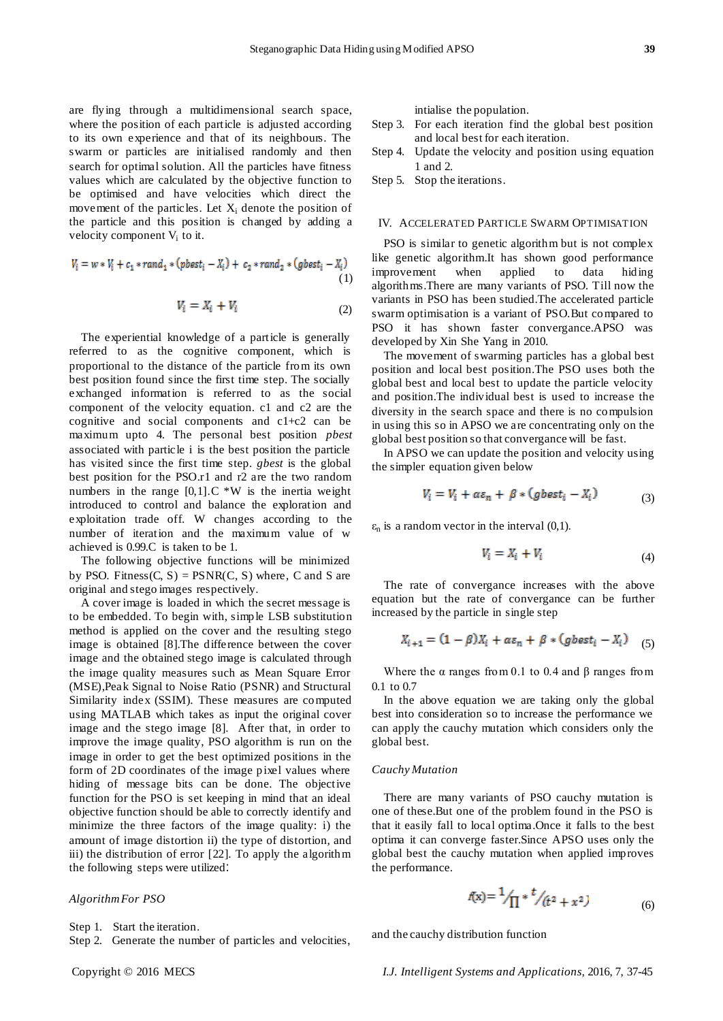are flying through a multidimensional search space, where the position of each particle is adjusted according to its own experience and that of its neighbours. The swarm or particles are initialised randomly and then search for optimal solution. All the particles have fitness values which are calculated by the objective function to be optimised and have velocities which direct the movement of the particles. Let  $X_i$  denote the position of the particle and this position is changed by adding a velocity component V<sub>i</sub> to it.

$$
V_i = w * V_i + c_1 * rand_1 * (pbest_i - X_i) + c_2 * rand_2 * (gbest_i - X_i)
$$
  
(1)

$$
V_i = X_i + V_i \tag{2}
$$

The experiential knowledge of a particle is generally referred to as the cognitive component, which is proportional to the distance of the particle from its own best position found since the first time step. The socially exchanged information is referred to as the social component of the velocity equation. c1 and c2 are the cognitive and social components and c1+c2 can be maximum upto 4. The personal best position *pbest*  associated with particle i is the best position the particle has visited since the first time step. *gbest* is the global best position for the PSO.r1 and r2 are the two random numbers in the range  $[0,1]$ . C \*W is the inertia weight introduced to control and balance the exploration and exploitation trade off. W changes according to the number of iteration and the maximum value of w achieved is 0.99.C is taken to be 1.

The following objective functions will be minimized by PSO. Fitness $(C, S)$  = PSNR $(C, S)$  where, C and S are original and stego images respectively.

A cover image is loaded in which the secret message is to be embedded. To begin with, simple LSB substitution method is applied on the cover and the resulting stego image is obtained [8].The difference between the cover image and the obtained stego image is calculated through the image quality measures such as Mean Square Error (MSE),Peak Signal to Noise Ratio (PSNR) and Structural Similarity index (SSIM). These measures are computed using MATLAB which takes as input the original cover image and the stego image [8]. After that, in order to improve the image quality, PSO algorithm is run on the image in order to get the best optimized positions in the form of 2D coordinates of the image pixel values where hiding of message bits can be done. The objective function for the PSO is set keeping in mind that an ideal objective function should be able to correctly identify and minimize the three factors of the image quality: i) the amount of image distortion ii) the type of distortion, and iii) the distribution of error [22]. To apply the algorithm the following steps were utilized:

#### *Algorithm For PSO*

Step 1. Start the iteration.

Step 2. Generate the number of particles and velocities,

intialise the population.

- Step 3. For each iteration find the global best position and local best for each iteration.
- Step 4. Update the velocity and position using equation 1 and 2.

Step 5. Stop the iterations.

#### IV. ACCELERATED PARTICLE SWARM OPTIMISATION

PSO is similar to genetic algorithm but is not complex like genetic algorithm.It has shown good performance improvement when applied to data hiding algorithms.There are many variants of PSO. Till now the variants in PSO has been studied.The accelerated particle swarm optimisation is a variant of PSO.But compared to PSO it has shown faster convergance.APSO was developed by Xin She Yang in 2010.

The movement of swarming particles has a global best position and local best position.The PSO uses both the global best and local best to update the particle velocity and position.The individual best is used to increase the diversity in the search space and there is no compulsion in using this so in APSO we are concentrating only on the global best position so that convergance will be fast.

In APSO we can update the position and velocity using the simpler equation given below

$$
V_i = V_i + \alpha \varepsilon_n + \beta * (gbest_i - X_i)
$$
\n(3)

 $\varepsilon_n$  is a random vector in the interval  $(0,1)$ .

$$
V_i = X_i + V_i \tag{4}
$$

The rate of convergance increases with the above equation but the rate of convergance can be further increased by the particle in single step

$$
X_{i+1} = (1 - \beta)X_i + \alpha \varepsilon_n + \beta * (gbest_i - X_i)
$$
 (5)

Where the  $\alpha$  ranges from 0.1 to 0.4 and  $\beta$  ranges from 0.1 to 0.7

In the above equation we are taking only the global best into consideration so to increase the performance we can apply the cauchy mutation which considers only the global best.

# *Cauchy Mutation*

There are many variants of PSO cauchy mutation is one of these.But one of the problem found in the PSO is that it easily fall to local optima.Once it falls to the best optima it can converge faster.Since APSO uses only the global best the cauchy mutation when applied improves the performance.

$$
f(x) = \frac{1}{\sqrt{1}} * \frac{t}{\sqrt{t^2 + x^2}}
$$
 (6)

and the cauchy distribution function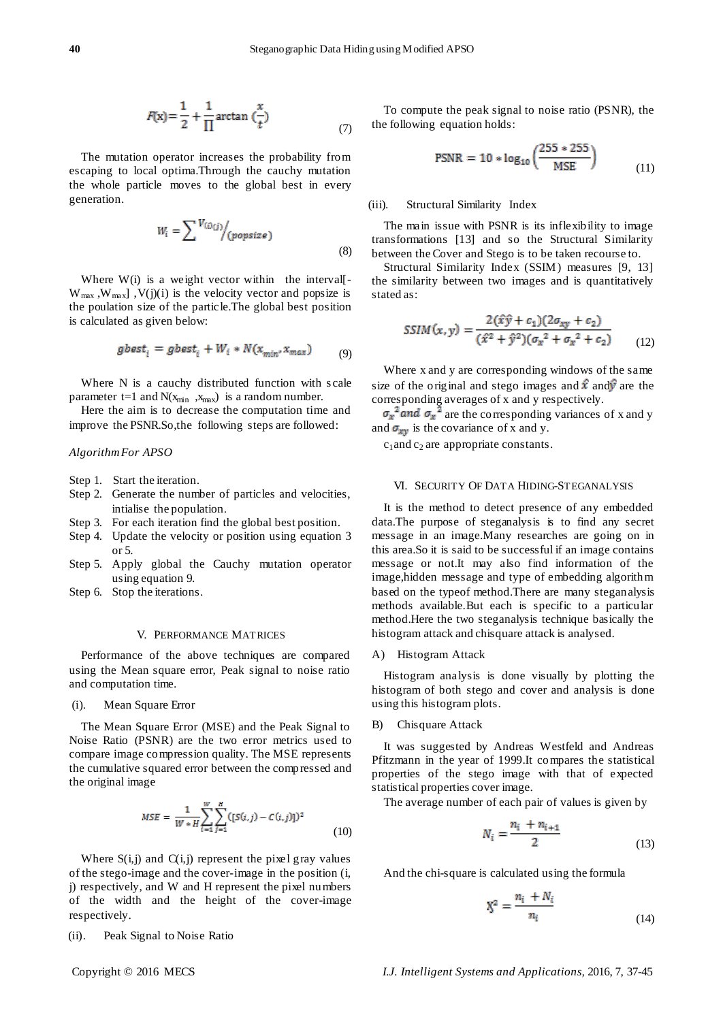$$
F(x) = \frac{1}{2} + \frac{1}{\Pi} \arctan\left(\frac{x}{t}\right)
$$
\n<sup>(7)</sup>

The mutation operator increases the probability from escaping to local optima.Through the cauchy mutation the whole particle moves to the global best in every generation.

$$
W_i = \sum_{j} V_{(i)(j)} / (popsize)
$$
\n(8)

Where  $W(i)$  is a weight vector within the interval  $W_{max}$ ,  $W_{max}$ ],  $V(j)(i)$  is the velocity vector and popsize is the poulation size of the particle.The global best position is calculated as given below:

$$
gbest_i = gbest_i + W_i * N(x_{min}, x_{max})
$$
 (9)

Where N is a cauchy distributed function with scale parameter t=1 and  $N(x_{min}, x_{max})$  is a random number.

Here the aim is to decrease the computation time and improve the PSNR.So,the following steps are followed:

# *Algorithm For APSO*

Step 1. Start the iteration.

- Step 2. Generate the number of particles and velocities, intialise the population.
- Step 3. For each iteration find the global best position.
- Step 4. Update the velocity or position using equation 3 or 5.
- Step 5. Apply global the Cauchy mutation operator using equation 9.
- Step 6. Stop the iterations.

#### V. PERFORMANCE MATRICES

Performance of the above techniques are compared using the Mean square error, Peak signal to noise ratio and computation time.

(i). Mean Square Error

The Mean Square Error (MSE) and the Peak Signal to Noise Ratio (PSNR) are the two error metrics used to compare image compression quality. The MSE represents the cumulative squared error between the compressed and the original image

$$
MSE = \frac{1}{W * H} \sum_{i=1}^{W} \sum_{j=1}^{H} ([S(i, j) - C(i, j)])^2
$$
(10)

Where  $S(i, j)$  and  $C(i, j)$  represent the pixel gray values of the stego-image and the cover-image in the position (i, j) respectively, and W and H represent the pixel numbers of the width and the height of the cover-image respectively.

(ii). Peak Signal to Noise Ratio

To compute the peak signal to noise ratio (PSNR), the the following equation holds:

$$
PSNR = 10 * log_{10} \left( \frac{255 * 255}{MSE} \right)
$$
 (11)

# (iii). Structural Similarity Index

The main issue with PSNR is its inflexibility to image transformations [13] and so the Structural Similarity between the Cover and Stego is to be taken recourse to.

Structural Similarity Index (SSIM) measures [9, 13] the similarity between two images and is quantitatively stated as:

$$
SSIM(x, y) = \frac{2(\hat{x}\hat{y} + c_1)(2\sigma_{xy} + c_2)}{(\hat{x}^2 + \hat{y}^2)(\sigma_x^2 + \sigma_x^2 + c_2)}
$$
(12)

Where x and y are corresponding windows of the same size of the original and stego images and  $\hat{x}$  and  $\hat{y}$  are the corresponding averages of x and y respectively.

 $\sigma_x^2$  and  $\sigma_x^2$  are the corresponding variances of x and y and  $\sigma_{xy}$  is the covariance of x and y.

 $c_1$  and  $c_2$  are appropriate constants.

## VI. SECURITY OF DATA HIDING-STEGANALYSIS

It is the method to detect presence of any embedded data.The purpose of steganalysis is to find any secret message in an image.Many researches are going on in this area.So it is said to be successful if an image contains message or not.It may also find information of the image,hidden message and type of embedding algorithm based on the typeof method.There are many steganalysis methods available.But each is specific to a particular method.Here the two steganalysis technique basically the histogram attack and chisquare attack is analysed.

A) Histogram Attack

Histogram analysis is done visually by plotting the histogram of both stego and cover and analysis is done using this histogram plots.

# B) Chisquare Attack

It was suggested by Andreas Westfeld and Andreas Pfitzmann in the year of 1999.It compares the statistical properties of the stego image with that of expected statistical properties cover image.

The average number of each pair of values is given by

$$
N_i = \frac{n_i + n_{i+1}}{2}
$$
 (13)

And the chi-square is calculated using the formula

$$
X^2 = \frac{n_i + N_i}{n_i} \tag{14}
$$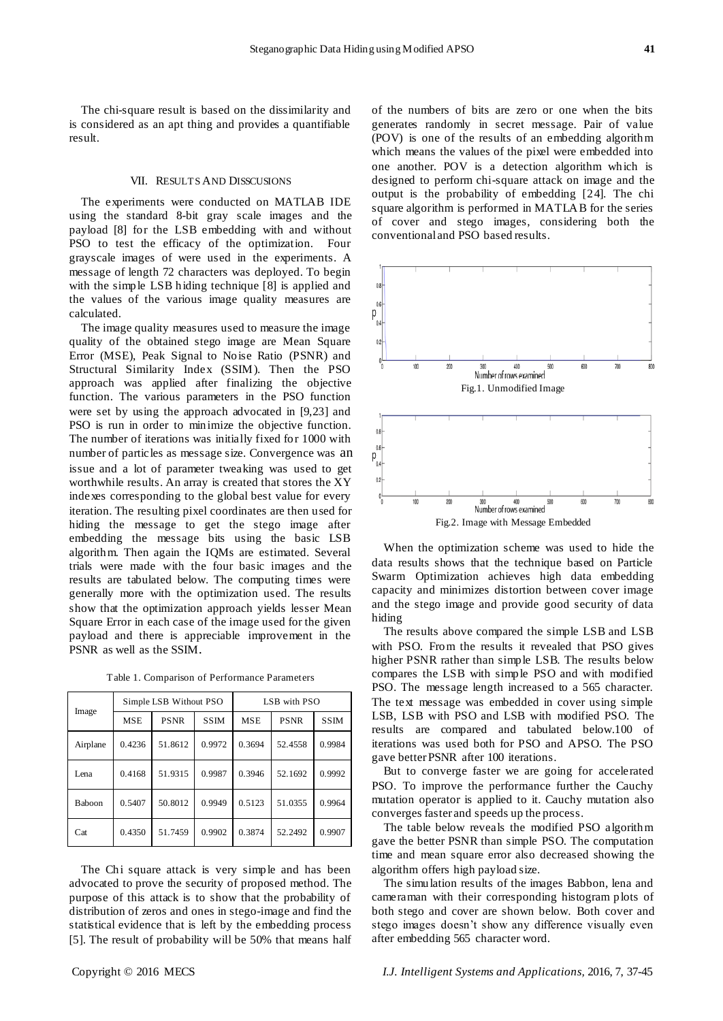The chi-square result is based on the dissimilarity and is considered as an apt thing and provides a quantifiable result.

#### VII. RESULTS AND DISSCUSIONS

The experiments were conducted on MATLAB IDE using the standard 8-bit gray scale images and the payload [8] for the LSB embedding with and without PSO to test the efficacy of the optimization. Four grayscale images of were used in the experiments. A message of length 72 characters was deployed. To begin with the simple LSB hiding technique [8] is applied and the values of the various image quality measures are calculated.

The image quality measures used to measure the image quality of the obtained stego image are Mean Square Error (MSE), Peak Signal to Noise Ratio (PSNR) and Structural Similarity Index (SSIM). Then the PSO approach was applied after finalizing the objective function. The various parameters in the PSO function were set by using the approach advocated in [9,23] and PSO is run in order to minimize the objective function. The number of iterations was initially fixed for 1000 with number of particles as message size. Convergence was an issue and a lot of parameter tweaking was used to get worthwhile results. An array is created that stores the XY indexes corresponding to the global best value for every iteration. The resulting pixel coordinates are then used for hiding the message to get the stego image after embedding the message bits using the basic LSB algorithm. Then again the IQMs are estimated. Several trials were made with the four basic images and the results are tabulated below. The computing times were generally more with the optimization used. The results show that the optimization approach yields lesser Mean Square Error in each case of the image used for the given payload and there is appreciable improvement in the PSNR as well as the SSIM.

| Image         | Simple LSB Without PSO |             |             | LSB with PSO |             |             |
|---------------|------------------------|-------------|-------------|--------------|-------------|-------------|
|               | <b>MSE</b>             | <b>PSNR</b> | <b>SSIM</b> | <b>MSE</b>   | <b>PSNR</b> | <b>SSIM</b> |
| Airplane      | 0.4236                 | 51.8612     | 0.9972      | 0.3694       | 52.4558     | 0.9984      |
| Lena          | 0.4168                 | 51.9315     | 0.9987      | 0.3946       | 52.1692     | 0.9992      |
| <b>Baboon</b> | 0.5407                 | 50.8012     | 0.9949      | 0.5123       | 51.0355     | 0.9964      |
| Cat           | 0.4350                 | 51.7459     | 0.9902      | 0.3874       | 52.2492     | 0.9907      |

The Chi square attack is very simple and has been advocated to prove the security of proposed method. The purpose of this attack is to show that the probability of distribution of zeros and ones in stego-image and find the statistical evidence that is left by the embedding process [5]. The result of probability will be 50% that means half of the numbers of bits are zero or one when the bits generates randomly in secret message. Pair of value (POV) is one of the results of an embedding algorithm which means the values of the pixel were embedded into one another. POV is a detection algorithm which is designed to perform chi-square attack on image and the output is the probability of embedding [24]. The chi square algorithm is performed in MATLAB for the series of cover and stego images, considering both the conventional and PSO based results.



When the optimization scheme was used to hide the data results shows that the technique based on Particle Swarm Optimization achieves high data embedding capacity and minimizes distortion between cover image and the stego image and provide good security of data hiding

The results above compared the simple LSB and LSB with PSO. From the results it revealed that PSO gives higher PSNR rather than simple LSB. The results below compares the LSB with simple PSO and with modified PSO. The message length increased to a 565 character. The text message was embedded in cover using simple LSB, LSB with PSO and LSB with modified PSO. The results are compared and tabulated below.100 of iterations was used both for PSO and APSO. The PSO gave better PSNR after 100 iterations.

But to converge faster we are going for accelerated PSO. To improve the performance further the Cauchy mutation operator is applied to it. Cauchy mutation also converges faster and speeds up the process.

The table below reveals the modified PSO algorithm gave the better PSNR than simple PSO. The computation time and mean square error also decreased showing the algorithm offers high payload size.

The simulation results of the images Babbon, lena and cameraman with their corresponding histogram plots of both stego and cover are shown below. Both cover and stego images doesn't show any difference visually even after embedding 565 character word.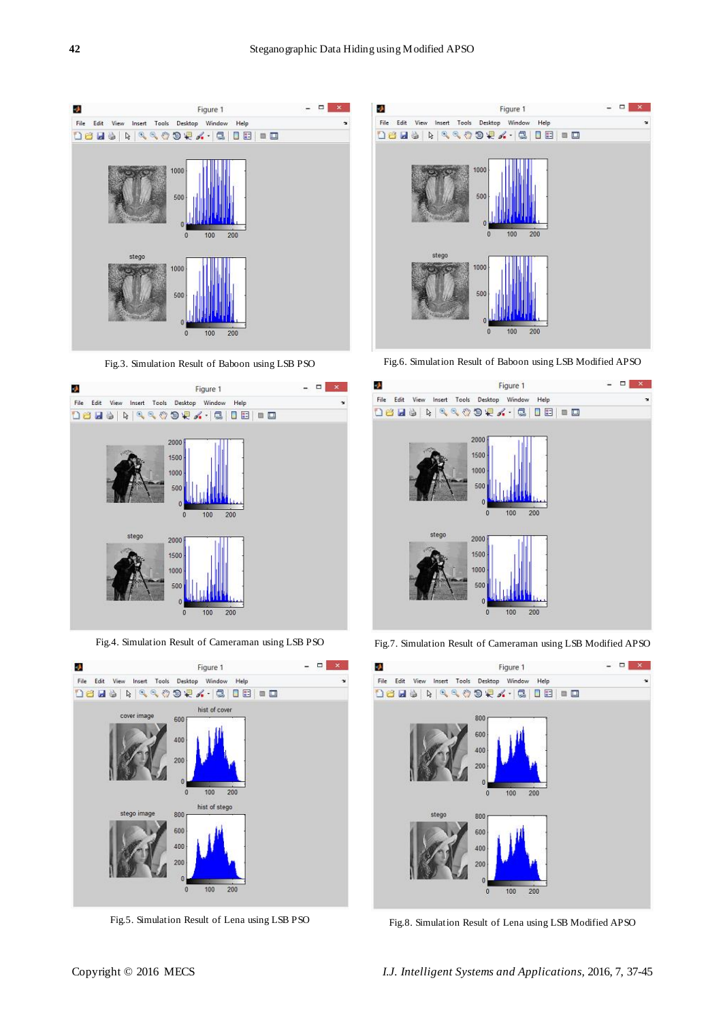

Fig.3. Simulation Result of Baboon using LSB PSO



Fig.4. Simulation Result of Cameraman using LSB PSO



Fig.5. Simulation Result of Lena using LSB PSO



Fig.6. Simulation Result of Baboon using LSB Modified APSO



Fig.7. Simulation Result of Cameraman using LSB Modified APSO



Fig.8. Simulation Result of Lena using LSB Modified APSO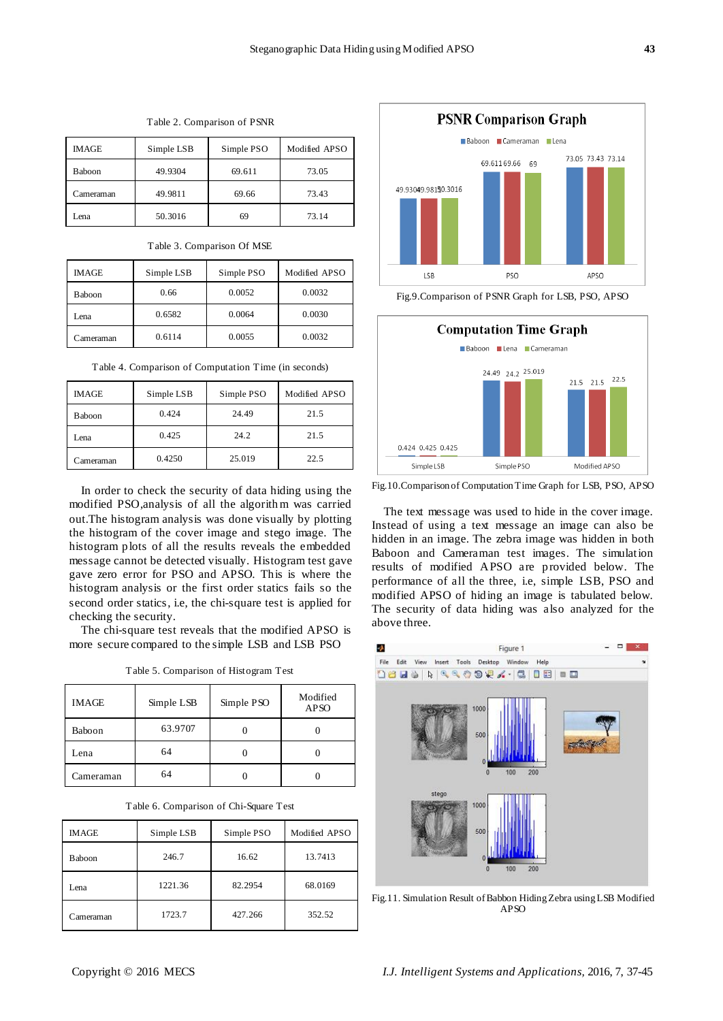| <b>IMAGE</b>  | Simple LSB | Simple PSO | Modified APSO |
|---------------|------------|------------|---------------|
| <b>Baboon</b> | 49.9304    | 69.611     | 73.05         |
| Cameraman     | 49.9811    | 69.66      | 73.43         |
| Lena          | 50.3016    | 69         | 73.14         |

Table 2. Comparison of PSNR

Table 3. Comparison Of MSE

| <b>IMAGE</b> | Simple LSB | Simple PSO | Modified APSO |
|--------------|------------|------------|---------------|
| Baboon       | 0.66       | 0.0052     | 0.0032        |
| Lena         | 0.6582     | 0.0064     | 0.0030        |
| Cameraman    | 0.6114     | 0.0055     | 0.0032        |

Table 4. Comparison of Computation Time (in seconds)

| <b>IMAGE</b> | Simple LSB | Simple PSO | Modified APSO |
|--------------|------------|------------|---------------|
| Baboon       | 0.424      | 24.49      | 21.5          |
| Lena         | 0.425      | 24.2       | 21.5          |
| Cameraman    | 0.4250     | 25.019     | 22.5          |

In order to check the security of data hiding using the modified PSO,analysis of all the algorithm was carried out.The histogram analysis was done visually by plotting the histogram of the cover image and stego image. The histogram plots of all the results reveals the embedded message cannot be detected visually. Histogram test gave gave zero error for PSO and APSO. This is where the histogram analysis or the first order statics fails so the second order statics, i.e, the chi-square test is applied for checking the security.

The chi-square test reveals that the modified APSO is more secure compared to the simple LSB and LSB PSO

|  |  | Table 5. Comparison of Histogram Test |  |
|--|--|---------------------------------------|--|
|--|--|---------------------------------------|--|

| <b>IMAGE</b> | Simple LSB | Simple PSO | Modified<br><b>APSO</b> |
|--------------|------------|------------|-------------------------|
| Baboon       | 63.9707    |            |                         |
| Lena         | 64         |            |                         |
| Cameraman    | 64         |            |                         |

|  |  | Table 6. Comparison of Chi-Square Test |  |
|--|--|----------------------------------------|--|
|--|--|----------------------------------------|--|

| <b>IMAGE</b> | Simple LSB | Simple PSO | Modified APSO |
|--------------|------------|------------|---------------|
| Baboon       | 246.7      | 16.62      | 13.7413       |
| Lena         | 1221.36    | 82.2954    | 68.0169       |
| Cameraman    | 1723.7     | 427.266    | 352.52        |





Fig.10.Comparison of Computation Time Graph for LSB, PSO, APSO

The text message was used to hide in the cover image. Instead of using a text message an image can also be hidden in an image. The zebra image was hidden in both Baboon and Cameraman test images. The simulation results of modified APSO are provided below. The performance of all the three, i.e, simple LSB, PSO and modified APSO of hiding an image is tabulated below. The security of data hiding was also analyzed for the above three.



Fig.11. Simulation Result of Babbon Hiding Zebra using LSB Modified APSO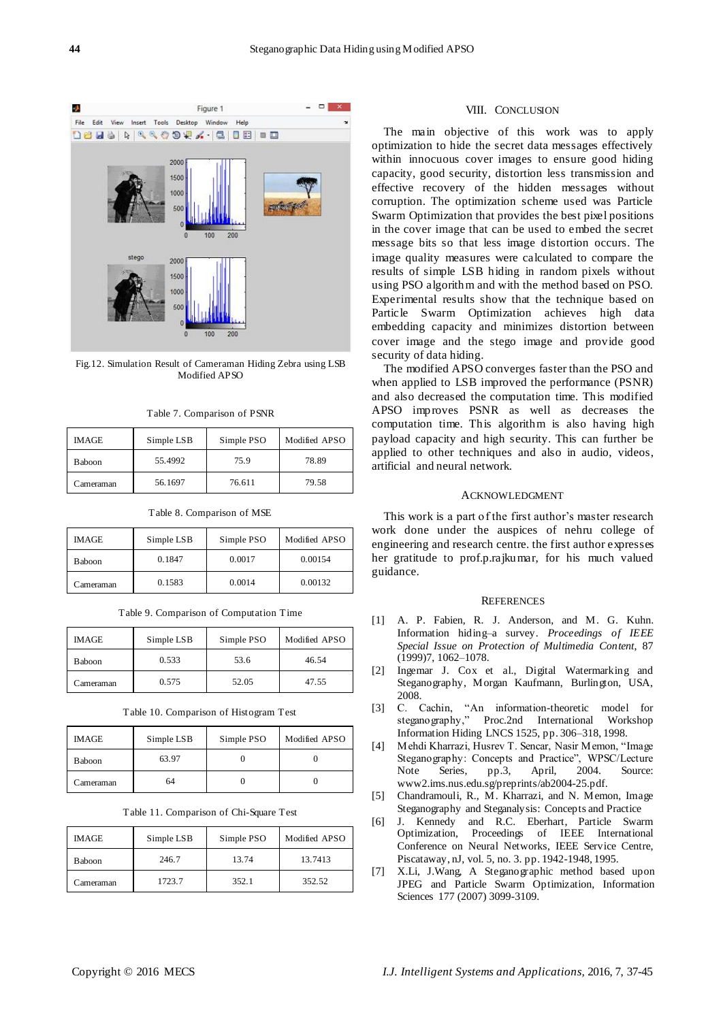

Fig.12. Simulation Result of Cameraman Hiding Zebra using LSB Modified APSO

| IMAGE     | Simple LSB | Simple PSO | Modified APSO |
|-----------|------------|------------|---------------|
| Baboon    | 55.4992    | 75.9       | 78.89         |
| Cameraman | 56.1697    | 76.611     | 79.58         |

Table 7. Comparison of PSNR

|  |  |  | Table 8. Comparison of MSE |  |  |
|--|--|--|----------------------------|--|--|
|--|--|--|----------------------------|--|--|

| IMAGE         | Simple LSB | Simple PSO | Modified APSO |
|---------------|------------|------------|---------------|
| <b>Baboon</b> | 0.1847     | 0.0017     | 0.00154       |
| Cameraman     | 0.1583     | 0.0014     | 0.00132       |

Table 9. Comparison of Computation Time

| IMAGE     | Simple LSB | Simple PSO | Modified APSO |
|-----------|------------|------------|---------------|
| Baboon    | 0.533      | 53.6       | 46.54         |
| Cameraman | 0.575      | 52.05      | 47.55         |

Table 10. Comparison of Histogram Test

| IMAGE     | Simple LSB | Simple PSO | Modified APSO |
|-----------|------------|------------|---------------|
| Baboon    | 63.97      |            |               |
| Cameraman | 64         |            |               |

Table 11. Comparison of Chi-Square Test

| <b>IMAGE</b> | Simple LSB | Simple PSO | Modified APSO |
|--------------|------------|------------|---------------|
| Baboon       | 246.7      | 13.74      | 13.7413       |
| Cameraman    | 1723.7     | 352.1      | 352.52        |

#### VIII. CONCLUSION

The main objective of this work was to apply optimization to hide the secret data messages effectively within innocuous cover images to ensure good hiding capacity, good security, distortion less transmission and effective recovery of the hidden messages without corruption. The optimization scheme used was Particle Swarm Optimization that provides the best pixel positions in the cover image that can be used to embed the secret message bits so that less image distortion occurs. The image quality measures were calculated to compare the results of simple LSB hiding in random pixels without using PSO algorithm and with the method based on PSO. Experimental results show that the technique based on Particle Swarm Optimization achieves high data embedding capacity and minimizes distortion between cover image and the stego image and provide good security of data hiding.

The modified APSO converges faster than the PSO and when applied to LSB improved the performance (PSNR) and also decreased the computation time. This modified APSO improves PSNR as well as decreases the computation time. This algorithm is also having high payload capacity and high security. This can further be applied to other techniques and also in audio, videos, artificial and neural network.

# ACKNOWLEDGMENT

This work is a part of the first author's master research work done under the auspices of nehru college of engineering and research centre. the first author expresses her gratitude to prof.p.rajkumar, for his much valued guidance.

#### **REFERENCES**

- [1] A. P. Fabien, R. J. Anderson, and M. G. Kuhn. Information hiding–a survey. *Proceedings of IEEE Special Issue on Protection of Multimedia Content*, 87 (1999)7, 1062–1078.
- [2] Ingemar J. Cox et al., Digital Watermarking and Steganography, Morgan Kaufmann, Burlington, USA, 2008.
- [3] C. Cachin, "An information-theoretic model for steganography,‖ Proc.2nd International Workshop Information Hiding LNCS 1525, pp. 306–318, 1998.
- [4] Mehdi Kharrazi, Husrev T. Sencar, Nasir Memon, "Image Steganography: Concepts and Practice", WPSC/Lecture Note Series, pp.3, April, 2004. Source: www2.ims.nus.edu.sg/preprints/ab2004-25.pdf.
- [5] Chandramouli, R., M. Kharrazi, and N. Memon, Image Steganography and Steganalysis: Concepts and Practice
- [6] J. Kennedy and R.C. Eberhart, Particle Swarm Optimization, Proceedings of IEEE International Conference on Neural Networks, IEEE Service Centre, Piscataway, nJ, vol. 5, no. 3. pp. 1942-1948, 1995.
- [7] X.Li, J.Wang, A Steganographic method based upon JPEG and Particle Swarm Optimization, Information Sciences 177 (2007) 3099-3109.